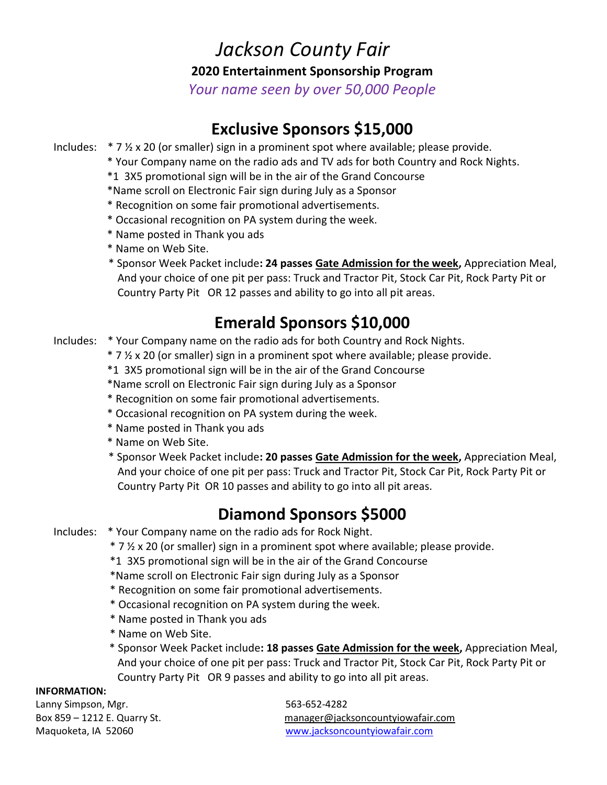# *Jackson County Fair*

**2020 Entertainment Sponsorship Program**

*Your name seen by over 50,000 People*

## **Exclusive Sponsors \$15,000**

Includes: \* 7 ½ x 20 (or smaller) sign in a prominent spot where available; please provide.

\* Your Company name on the radio ads and TV ads for both Country and Rock Nights.

- \*1 3X5 promotional sign will be in the air of the Grand Concourse
- \*Name scroll on Electronic Fair sign during July as a Sponsor
- \* Recognition on some fair promotional advertisements.
- \* Occasional recognition on PA system during the week.
- \* Name posted in Thank you ads
- \* Name on Web Site.

 \* Sponsor Week Packet include**: 24 passes Gate Admission for the week,** Appreciation Meal, And your choice of one pit per pass: Truck and Tractor Pit, Stock Car Pit, Rock Party Pit or Country Party Pit OR 12 passes and ability to go into all pit areas.

## **Emerald Sponsors \$10,000**

Includes: \* Your Company name on the radio ads for both Country and Rock Nights.

- \* 7 ½ x 20 (or smaller) sign in a prominent spot where available; please provide.
- \*1 3X5 promotional sign will be in the air of the Grand Concourse

\*Name scroll on Electronic Fair sign during July as a Sponsor

- \* Recognition on some fair promotional advertisements.
- \* Occasional recognition on PA system during the week.
- \* Name posted in Thank you ads
- \* Name on Web Site.
- \* Sponsor Week Packet include**: 20 passes Gate Admission for the week,** Appreciation Meal, And your choice of one pit per pass: Truck and Tractor Pit, Stock Car Pit, Rock Party Pit or Country Party Pit OR 10 passes and ability to go into all pit areas.

## **Diamond Sponsors \$5000**

- Includes: \* Your Company name on the radio ads for Rock Night.
	- \* 7 ½ x 20 (or smaller) sign in a prominent spot where available; please provide.
	- \*1 3X5 promotional sign will be in the air of the Grand Concourse
	- \*Name scroll on Electronic Fair sign during July as a Sponsor
	- \* Recognition on some fair promotional advertisements.
	- \* Occasional recognition on PA system during the week.
	- \* Name posted in Thank you ads
	- \* Name on Web Site.
	- \* Sponsor Week Packet include**: 18 passes Gate Admission for the week,** Appreciation Meal, And your choice of one pit per pass: Truck and Tractor Pit, Stock Car Pit, Rock Party Pit or Country Party Pit OR 9 passes and ability to go into all pit areas.

#### **INFORMATION:**

Lanny Simpson, Mgr. 563-652-4282

Box 859 – 1212 E. Quarry St. [manager@jacksoncountyiowafair.com](mailto:manager@jacksoncountyiowafair.com) Maquoketa, IA 52060 [www.jacksoncountyiowafair.com](http://www.jacksoncountyiowafair.com/)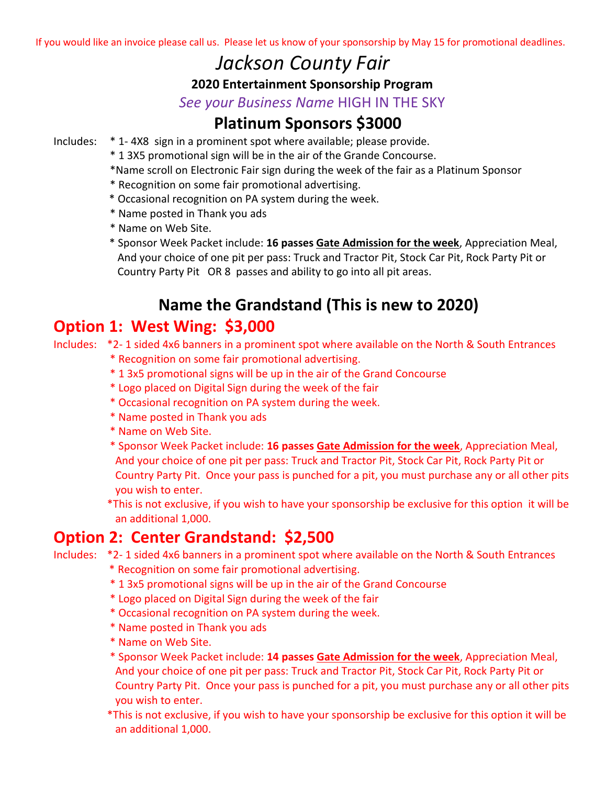## *Jackson County Fair*

#### **2020 Entertainment Sponsorship Program**

*See your Business Name* HIGH IN THE SKY

## **Platinum Sponsors \$3000**

Includes: \* 1- 4X8 sign in a prominent spot where available; please provide.

- \* 1 3X5 promotional sign will be in the air of the Grande Concourse.
- \*Name scroll on Electronic Fair sign during the week of the fair as a Platinum Sponsor
- \* Recognition on some fair promotional advertising.
- \* Occasional recognition on PA system during the week.
- \* Name posted in Thank you ads
- \* Name on Web Site.
- \* Sponsor Week Packet include: **16 passes Gate Admission for the week**, Appreciation Meal, And your choice of one pit per pass: Truck and Tractor Pit, Stock Car Pit, Rock Party Pit or Country Party Pit OR 8 passes and ability to go into all pit areas.

## **Name the Grandstand (This is new to 2020)**

## **Option 1: West Wing: \$3,000**

Includes: \*2- 1 sided 4x6 banners in a prominent spot where available on the North & South Entrances \* Recognition on some fair promotional advertising.

- \* 1 3x5 promotional signs will be up in the air of the Grand Concourse
- \* Logo placed on Digital Sign during the week of the fair
- \* Occasional recognition on PA system during the week.
- \* Name posted in Thank you ads
- \* Name on Web Site.
- \* Sponsor Week Packet include: **16 passes Gate Admission for the week**, Appreciation Meal, And your choice of one pit per pass: Truck and Tractor Pit, Stock Car Pit, Rock Party Pit or Country Party Pit. Once your pass is punched for a pit, you must purchase any or all other pits you wish to enter.
- \*This is not exclusive, if you wish to have your sponsorship be exclusive for this option it will be an additional 1,000.

## **Option 2: Center Grandstand: \$2,500**

- Includes: \*2- 1 sided 4x6 banners in a prominent spot where available on the North & South Entrances \* Recognition on some fair promotional advertising.
	- \* 1 3x5 promotional signs will be up in the air of the Grand Concourse
	- \* Logo placed on Digital Sign during the week of the fair
	- \* Occasional recognition on PA system during the week.
	- \* Name posted in Thank you ads
	- \* Name on Web Site.
	- \* Sponsor Week Packet include: **14 passes Gate Admission for the week**, Appreciation Meal, And your choice of one pit per pass: Truck and Tractor Pit, Stock Car Pit, Rock Party Pit or Country Party Pit. Once your pass is punched for a pit, you must purchase any or all other pits you wish to enter.
	- \*This is not exclusive, if you wish to have your sponsorship be exclusive for this option it will be an additional 1,000.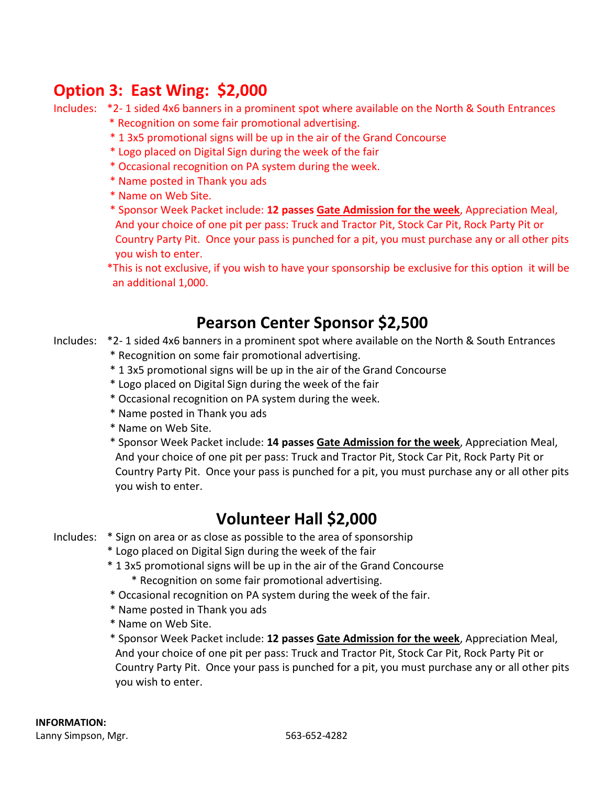## **Option 3: East Wing: \$2,000**

Includes: \*2- 1 sided 4x6 banners in a prominent spot where available on the North & South Entrances

- \* Recognition on some fair promotional advertising.
- \* 1 3x5 promotional signs will be up in the air of the Grand Concourse
- \* Logo placed on Digital Sign during the week of the fair
- \* Occasional recognition on PA system during the week.
- \* Name posted in Thank you ads
- \* Name on Web Site.
- \* Sponsor Week Packet include: **12 passes Gate Admission for the week**, Appreciation Meal, And your choice of one pit per pass: Truck and Tractor Pit, Stock Car Pit, Rock Party Pit or Country Party Pit. Once your pass is punched for a pit, you must purchase any or all other pits you wish to enter.

\*This is not exclusive, if you wish to have your sponsorship be exclusive for this option it will be an additional 1,000.

## **Pearson Center Sponsor \$2,500**

- Includes: \*2- 1 sided 4x6 banners in a prominent spot where available on the North & South Entrances \* Recognition on some fair promotional advertising.
	- \* 1 3x5 promotional signs will be up in the air of the Grand Concourse
	- \* Logo placed on Digital Sign during the week of the fair
	- \* Occasional recognition on PA system during the week.
	- \* Name posted in Thank you ads
	- \* Name on Web Site.

\* Sponsor Week Packet include: **14 passes Gate Admission for the week**, Appreciation Meal, And your choice of one pit per pass: Truck and Tractor Pit, Stock Car Pit, Rock Party Pit or Country Party Pit. Once your pass is punched for a pit, you must purchase any or all other pits you wish to enter.

## **Volunteer Hall \$2,000**

- Includes: \* Sign on area or as close as possible to the area of sponsorship
	- \* Logo placed on Digital Sign during the week of the fair
	- \* 1 3x5 promotional signs will be up in the air of the Grand Concourse
		- \* Recognition on some fair promotional advertising.
	- \* Occasional recognition on PA system during the week of the fair.
	- \* Name posted in Thank you ads
	- \* Name on Web Site.
	- \* Sponsor Week Packet include: **12 passes Gate Admission for the week**, Appreciation Meal, And your choice of one pit per pass: Truck and Tractor Pit, Stock Car Pit, Rock Party Pit or Country Party Pit. Once your pass is punched for a pit, you must purchase any or all other pits you wish to enter.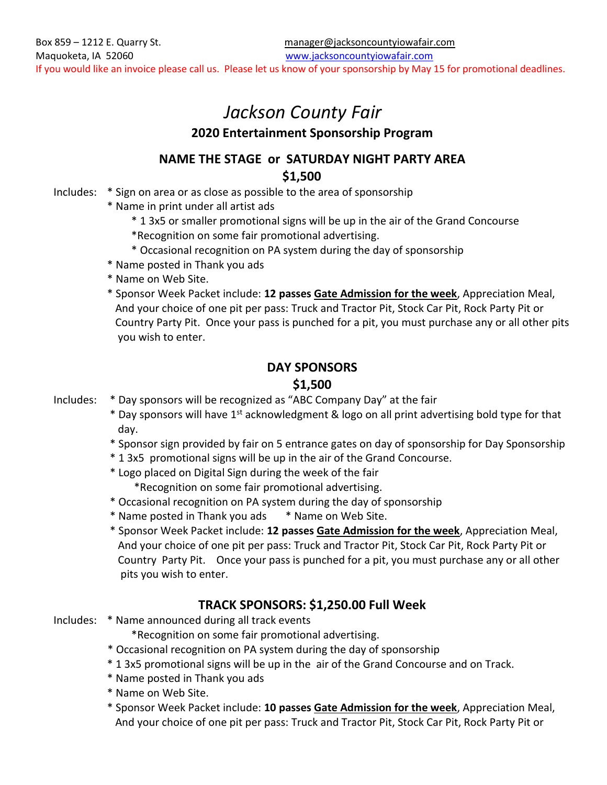## *Jackson County Fair*

#### **2020 Entertainment Sponsorship Program**

#### **NAME THE STAGE or SATURDAY NIGHT PARTY AREA \$1,500**

- Includes: \* Sign on area or as close as possible to the area of sponsorship
	- \* Name in print under all artist ads
		- \* 1 3x5 or smaller promotional signs will be up in the air of the Grand Concourse
		- \*Recognition on some fair promotional advertising.
		- \* Occasional recognition on PA system during the day of sponsorship
	- \* Name posted in Thank you ads
	- \* Name on Web Site.
	- \* Sponsor Week Packet include: **12 passes Gate Admission for the week**, Appreciation Meal, And your choice of one pit per pass: Truck and Tractor Pit, Stock Car Pit, Rock Party Pit or Country Party Pit. Once your pass is punched for a pit, you must purchase any or all other pits you wish to enter.

#### **DAY SPONSORS \$1,500**

- Includes: \* Day sponsors will be recognized as "ABC Company Day" at the fair
	- $*$  Day sponsors will have 1<sup>st</sup> acknowledgment & logo on all print advertising bold type for that day.
	- \* Sponsor sign provided by fair on 5 entrance gates on day of sponsorship for Day Sponsorship
	- \* 1 3x5 promotional signs will be up in the air of the Grand Concourse.
	- \* Logo placed on Digital Sign during the week of the fair
		- \*Recognition on some fair promotional advertising.
	- \* Occasional recognition on PA system during the day of sponsorship
	- \* Name posted in Thank you ads \* Name on Web Site.
	- \* Sponsor Week Packet include: **12 passes Gate Admission for the week**, Appreciation Meal, And your choice of one pit per pass: Truck and Tractor Pit, Stock Car Pit, Rock Party Pit or Country Party Pit. Once your pass is punched for a pit, you must purchase any or all other pits you wish to enter.

#### **TRACK SPONSORS: \$1,250.00 Full Week**

- Includes: \* Name announced during all track events
	- \*Recognition on some fair promotional advertising.
	- \* Occasional recognition on PA system during the day of sponsorship
	- \* 1 3x5 promotional signs will be up in the air of the Grand Concourse and on Track.
	- \* Name posted in Thank you ads
	- \* Name on Web Site.
	- \* Sponsor Week Packet include: **10 passes Gate Admission for the week**, Appreciation Meal, And your choice of one pit per pass: Truck and Tractor Pit, Stock Car Pit, Rock Party Pit or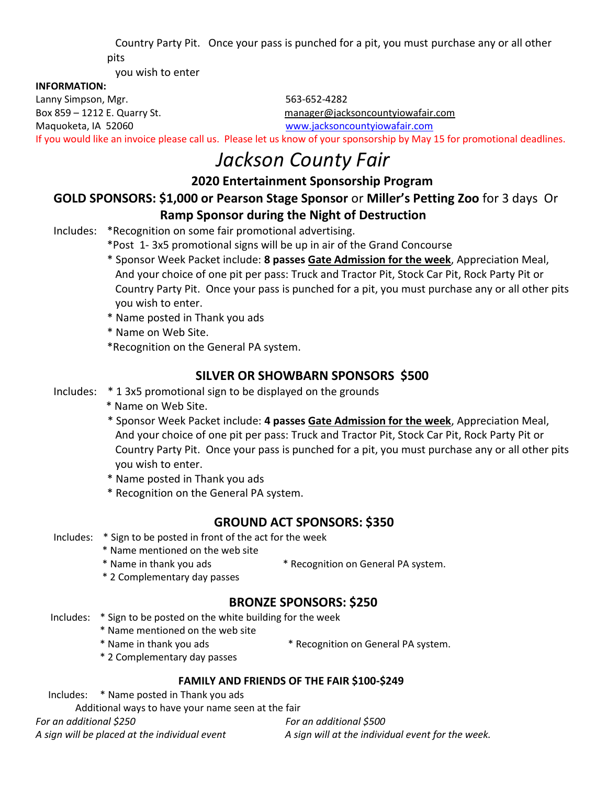Country Party Pit. Once your pass is punched for a pit, you must purchase any or all other pits

you wish to enter

#### **INFORMATION:**

Lanny Simpson, Mgr. 563-652-4282 Maquoketa, IA 52060 [www.jacksoncountyiowafair.com](http://www.jacksoncountyiowafair.com/)

Box 859 – 1212 E. Quarry St. [manager@jacksoncountyiowafair.com](mailto:manager@jacksoncountyiowafair.com)

If you would like an invoice please call us. Please let us know of your sponsorship by May 15 for promotional deadlines.

## *Jackson County Fair*

**2020 Entertainment Sponsorship Program**

### **GOLD SPONSORS: \$1,000 or Pearson Stage Sponsor** or **Miller's Petting Zoo** for 3 days Or **Ramp Sponsor during the Night of Destruction**

Includes: \*Recognition on some fair promotional advertising.

\*Post 1- 3x5 promotional signs will be up in air of the Grand Concourse

- \* Sponsor Week Packet include: **8 passes Gate Admission for the week**, Appreciation Meal, And your choice of one pit per pass: Truck and Tractor Pit, Stock Car Pit, Rock Party Pit or Country Party Pit. Once your pass is punched for a pit, you must purchase any or all other pits you wish to enter.
- \* Name posted in Thank you ads
- \* Name on Web Site.
- \*Recognition on the General PA system.

#### **SILVER OR SHOWBARN SPONSORS \$500**

- Includes: \* 1 3x5 promotional sign to be displayed on the grounds
	- \* Name on Web Site.
	- \* Sponsor Week Packet include: **4 passes Gate Admission for the week**, Appreciation Meal, And your choice of one pit per pass: Truck and Tractor Pit, Stock Car Pit, Rock Party Pit or Country Party Pit. Once your pass is punched for a pit, you must purchase any or all other pits you wish to enter.
	- \* Name posted in Thank you ads
	- \* Recognition on the General PA system.

#### **GROUND ACT SPONSORS: \$350**

- Includes: \* Sign to be posted in front of the act for the week
	- \* Name mentioned on the web site
	- \* Name in thank you ads \* Recognition on General PA system.
	- \* 2 Complementary day passes

#### **BRONZE SPONSORS: \$250**

Includes: \* Sign to be posted on the white building for the week

- \* Name mentioned on the web site
- \* Name in thank you ads \* Recognition on General PA system.
- \* 2 Complementary day passes

#### **FAMILY AND FRIENDS OF THE FAIR \$100-\$249**

 Includes: \* Name posted in Thank you ads Additional ways to have your name seen at the fair *For an additional \$250 For an additional \$500 A sign will be placed at the individual event A sign will at the individual event for the week.*